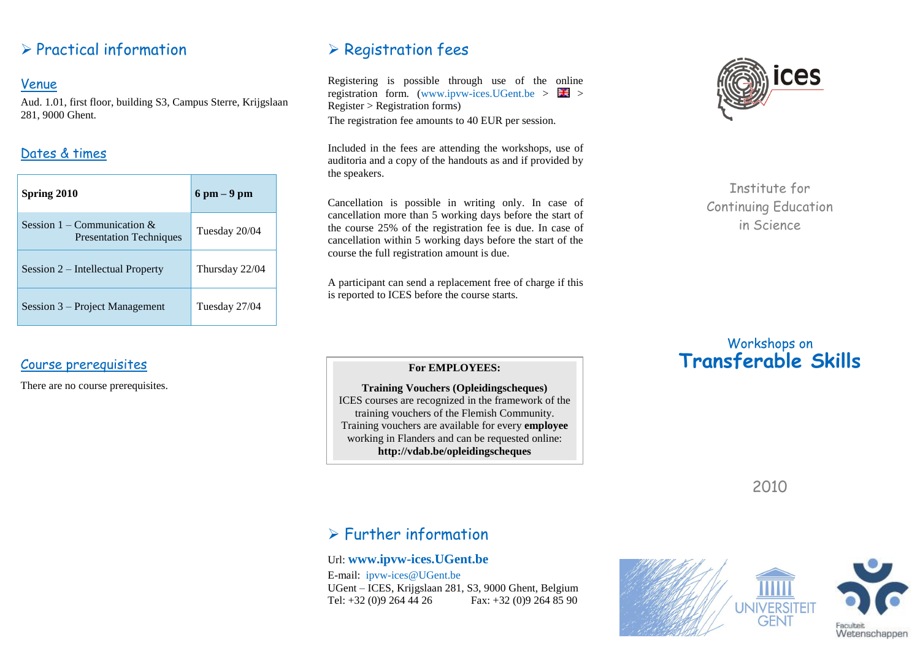## $\triangleright$  Practical information

#### Venue

Aud. 1.01, first floor, building S3, Campus Sterre, Krijgslaan 281, 9000 Ghent.

## Dates & times

| Spring 2010                                                      | $6$ pm $-9$ pm |
|------------------------------------------------------------------|----------------|
| Session 1 – Communication $\&$<br><b>Presentation Techniques</b> | Tuesday 20/04  |
| Session 2 – Intellectual Property                                | Thursday 22/04 |
| Session 3 – Project Management                                   | Tuesday 27/04  |

## Course prerequisites

There are no course prerequisites.

# $\triangleright$  Registration fees

Registering is possible through use of the online registration form. (www.ipvw-ices.UGent.be  $> 74$ ) Register > Registration forms) The registration fee amounts to 40 EUR per session.

Included in the fees are attending the workshops, use of auditoria and a copy of the handouts as and if provided by the speakers.

Cancellation is possible in writing only. In case of cancellation more than 5 working days before the start of the course 25% of the registration fee is due. In case of cancellation within 5 working days before the start of the course the full registration amount is due.

A participant can send a replacement free of charge if this is reported to ICES before the course starts.



Institute for Continuing Education in Science

## Workshops on **Transferable Skills**

#### **For EMPLOYEES:**

**Training Vouchers (Opleidingscheques)** ICES courses are recognized in the framework of the training vouchers of the Flemish Community. Training vouchers are available for every **employee** working in Flanders and can be requested online: **http://vdab.be/opleidingscheques**

2010

# $\triangleright$  Further information

### Url: **[www.ipvw-ices.UGent.be](http://www.ipvw-ices.ugent.be/)**

E-mail: ipvw-ices@UGent.be UGent – ICES, Krijgslaan 281, S3, 9000 Ghent, Belgium Tel: +32 (0)9 264 44 26 Fax: +32 (0)9 264 85 90